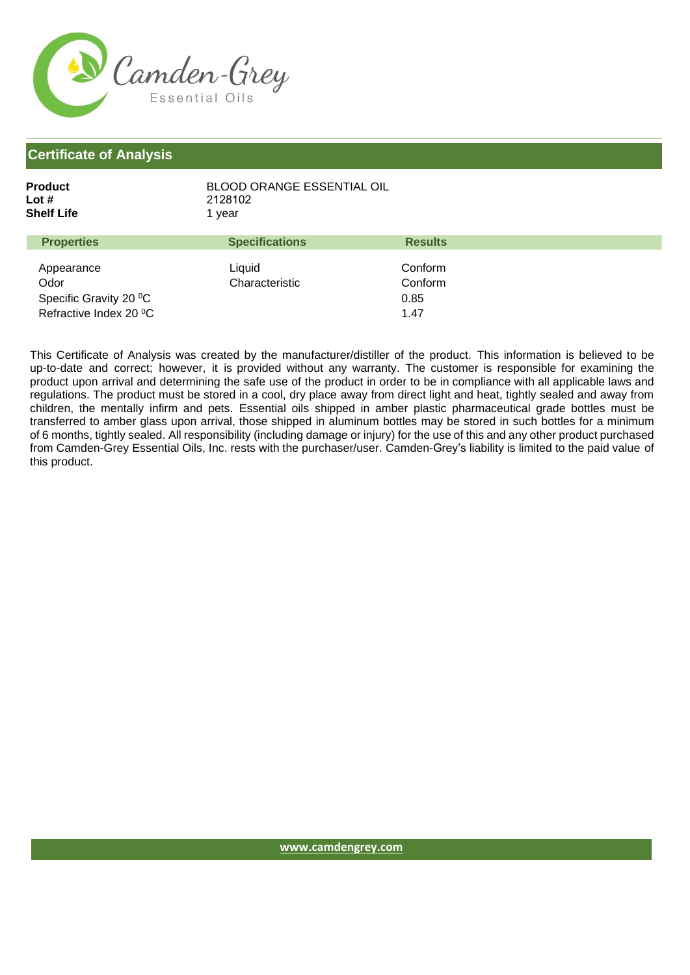

| Product    | BLOOD ORANGE ESSENTIAL OIL |
|------------|----------------------------|
| Lot #      | 2128102                    |
| Shelf Life | 1 vear                     |
|            |                            |

| <b>Properties</b>                                                      | <b>Specifications</b>    | <b>Results</b>                     |  |
|------------------------------------------------------------------------|--------------------------|------------------------------------|--|
| Appearance<br>Odor<br>Specific Gravity 20 °C<br>Refractive Index 20 °C | Liauid<br>Characteristic | Conform<br>Conform<br>0.85<br>1.47 |  |
|                                                                        |                          |                                    |  |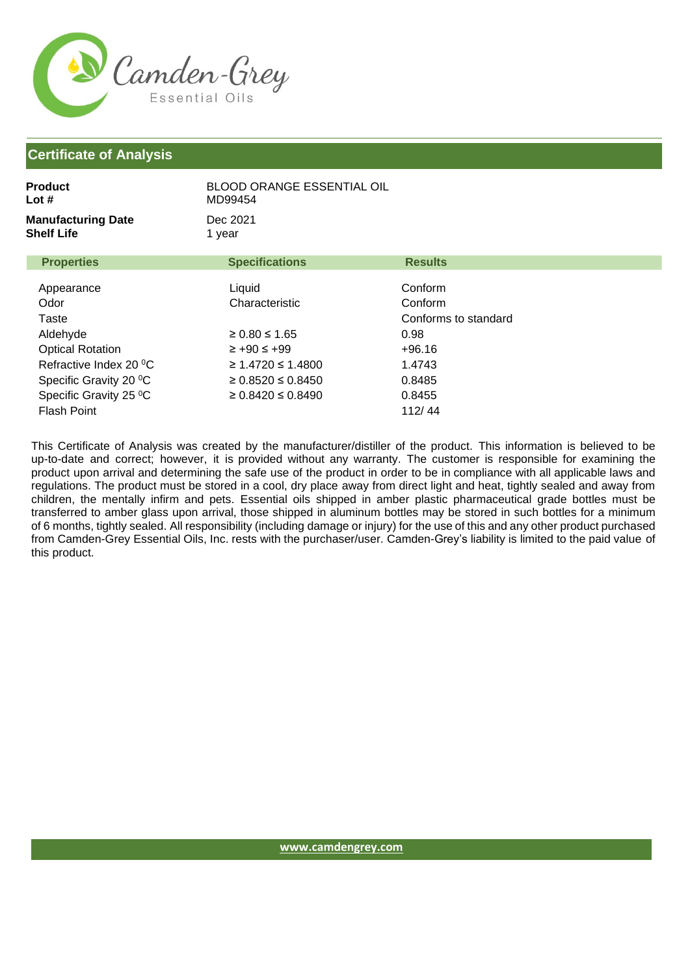

| <b>Product</b><br>Lot #                 | <b>BLOOD ORANGE ESSENTIAL OIL</b><br>MD99454 |                      |  |
|-----------------------------------------|----------------------------------------------|----------------------|--|
| <b>Manufacturing Date</b><br>Shelf Life | Dec 2021<br>1 year                           |                      |  |
| <b>Properties</b>                       | <b>Specifications</b>                        | <b>Results</b>       |  |
| Appearance                              | Liquid                                       | Conform              |  |
| Odor                                    | Characteristic                               | Conform              |  |
| Taste                                   |                                              | Conforms to standard |  |
| Aldehyde                                | ≥ 0.80 ≤ 1.65                                | 0.98                 |  |
| <b>Optical Rotation</b>                 | $\ge +90 \le +99$                            | $+96.16$             |  |
| Refractive Index 20 °C                  | ≥ 1.4720 ≤ 1.4800                            | 1.4743               |  |
| Specific Gravity 20 °C                  | $\geq 0.8520 \leq 0.8450$                    | 0.8485               |  |
| Specific Gravity 25 °C                  | $\geq 0.8420 \leq 0.8490$                    | 0.8455               |  |
| <b>Flash Point</b>                      |                                              | 112/44               |  |
|                                         |                                              |                      |  |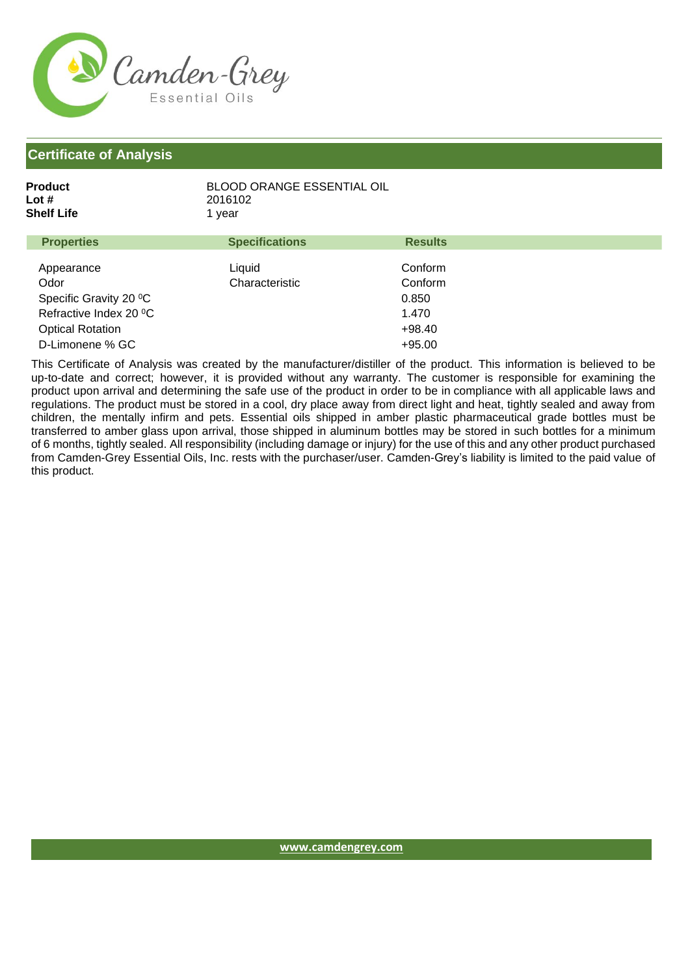

| Product    | BLOOD ORANGE ESSENTIAL OIL |
|------------|----------------------------|
| Lot #      | 2016102                    |
| Shelf Life | 1 year                     |
|            |                            |

| <b>Properties</b>                                                                                 | <b>Specifications</b>    | <b>Results</b>                                   |
|---------------------------------------------------------------------------------------------------|--------------------------|--------------------------------------------------|
| Appearance<br>Odor<br>Specific Gravity 20 °C<br>Refractive Index 20 °C<br><b>Optical Rotation</b> | Liauid<br>Characteristic | Conform<br>Conform<br>0.850<br>1.470<br>$+98.40$ |
| D-Limonene % GC                                                                                   |                          | $+95.00$                                         |